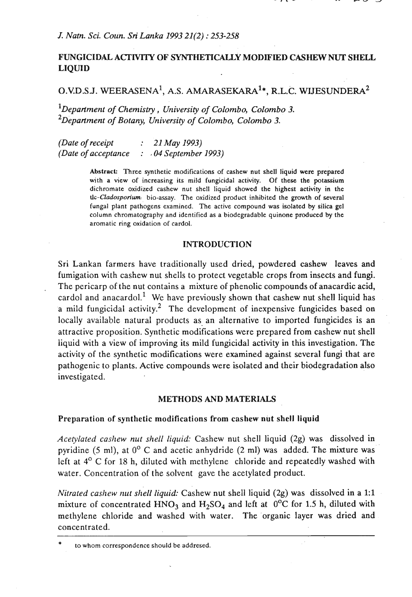# FUNGICIDAL ACI'IVITY OF SYNTHETICALLY MODIFIED CASHEW NUT SHELL LIQUID

O.V.D.S.J. WEERASENA<sup>1</sup>, A.S. AMARASEKARA<sup>1</sup>\*, R.L.C. WIJESUNDERA<sup>2</sup>

*l~epartment of Chemistry, University of Colombo, Colombo 3.*  <sup>2</sup>Department of Botany, University of Colombo, Colombo 3.

*(Date of receipt* : *21 May 1993) (Date of acceptance* : , **<sup>W</sup>***September 1993)* 

> **Abstrack Three synthetic modifications of cashew nut shell liquid were prepared with a view of increasing its mild fungicidal activity. Of these the potassium dichromate oxidized cashew nut shell liquid showed the highest activity in the Uc-Cladosponwn~ bio-assay. The oxidized product inhibited the growth of several fungal plant pathogens examined. The active compound was isolated by silica gel column chromatography and identified as a biodegradable quinone produced by the aromatic ring oxidation of cardol.**

### INTRODUCTION

Sri Lankan farmers have traditionally used dried, powdered cashew leaves and fumigation with cashew nut shells to protect vegetable crops from insects and fungi. The pericarp of the nut contains a mixture of phenolic compounds of anacardic acid, cardol and anacardol.<sup>1</sup> We have previously shown that cashew nut shell liquid has a mild fungicidal activity.<sup>2</sup> The development of inexpensive fungicides based on locally available natural products as an alternative to imported fungicides is an attractive proposition. Synthetic modifications were prepared from cashew nut shell liquid with a view of improving its mild fungicidal activity in this investigation. The activity of the synthetic modifications were examined against several fungi that are pathogenic to plants. Active compounds were isolated and their biodegradation also investigated.

#### METHODS AND MATERIALS

## Preparation of synthetic modifications from cashew nut shell liquid

*Aceplated casllew nut shell liquid:* Cashew nut shell liquid (2g) was dissolved in pyridine (5 ml), at  $0^{\circ}$  C and acetic anhydride (2 ml) was added. The mixture was left at **4'** C for **18** h, diluted with methylene chloride and repeatedly washed with water. Concentration of the solvent gave the acetylated product.

*Nitrated caslrew nut slzell liquid:* cashew nut shell liquid (2g) was dissolved in a **1:l**  mixture of concentrated  $HNO<sub>3</sub>$  and  $H<sub>2</sub>SO<sub>4</sub>$  and left at  $0^{\circ}C$  for 1.5 h, diluted with methylene chloride and washed with water. The 'organic layer was dried and concentrated.

to whom correspondence should be addresed.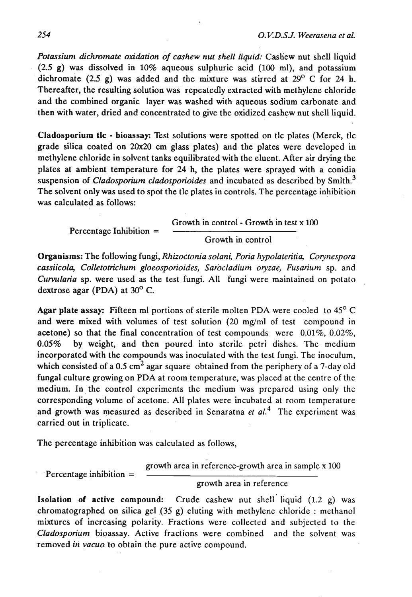Potassium dichromate oxidation of cashew nut shell liquid: Cashew nut shell liquid  $(2.5 \text{ g})$  was dissolved in 10% aqueous sulphuric acid  $(100 \text{ ml})$ , and potassium dichromate (2.5 g) was added and the mixture was stirred at  $29^{\circ}$  C for 24 h. Thereafter, the resulting solution was repeatedly extracted with methylene chloride and the combined organic layer was washed with aqueous sodium carbonate and then with water, dried and concentrated to give the oxidized cashew nut shell liquid.

Cladosporium tic - bioassay: Test solutions were spotted on tlc plates (Merck, tlc grade silica coated on 20x20 cm glass plates) and the plates were developed in methylene chloride in solvent tanks equilibrated with the eluent. After air drying the plates at ambient temperature for 24 h, the plates were sprayed with a conidia suspension of *Cladosporium cladosporioides* and incubated as described by  $Smith<sup>3</sup>$ . The solvent only was used to spot the tlc plates in controls. The percentage inhibition was calculated as follows:

Growth in control - Growth in test **x** 100 Percentage Inhibition  $=$ Growth in control

Organisms: The following fungi, Rhizoctonia solani, Poria hypolateritia, Corynespora cassiicola, Colletotrichum gloeosporioides, Sarocladium oryzae, Fusarium sp. and Curvularia sp. were used as the test fungi. All fungi were maintained on potato dextrose agar (PDA) at 30<sup>o</sup> C.

Agar plate assay: Fifteen ml portions of sterile molten PDA were cooled to  $45^{\circ}$  C and were mixed with volumes of test solution  $(20 \text{ mg/ml of test compound in})$ acetone) so that the final concentration of test compounds were  $0.01\%, 0.02\%$ ,  $0.05\%$  by weight, and then poured into sterile petri dishes. The medium incorporated with the compounds was inoculated with the test fungi. The inoculum, which consisted of a  $0.5 \text{ cm}^2$  agar square obtained from the periphery of a 7-day old fungal culture growing on PDA at room temperature, was placed at the centre of the medium. In the control experiments the medium was prepared using only the corresponding volume of acetone. All plates were incubated at room temperature and growth was measured as described in Senaratna et  $al<sup>4</sup>$ . The experiment was carried out in triplicate.

The percentage inhibition was calculated as follows,

growth area in reference-growth area in sample **x** 100

Percentage inhibition =

growth area in reference

**Isolation of active compound:** Crude cashew nut shell liquid  $(1.2 \text{ g})$  was chromatographed on silica gel (35 g) eluting with methylene chloride : methanol mixtures of increasing polarity. Fractions were collected and subjected to the Cladosporium bioassay. Active fractions were combined and the solvent was removed **in** vacuo.to obtain the pure active compound.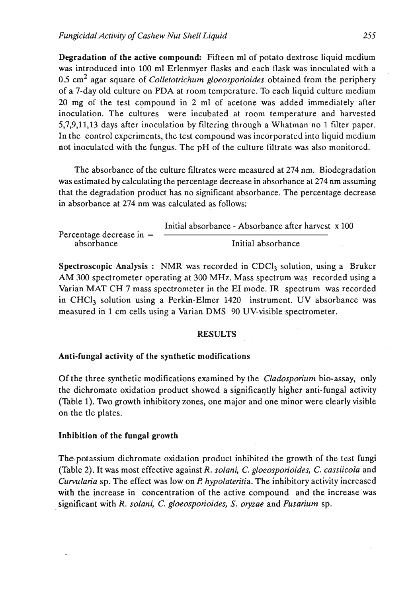Degradation of the active compound: Fifteen ml of potato dextrose liquid medium was introduced into 100 ml Erlenmyer flasks and each flask was inoculated with a 0.5 cm<sup>2</sup> agar square of *Colletotrichum gloeosponioides* obtained from the periphery of a 7-day old culture on **PDA** at room temperature. To each liquid culture medium 20 mg of the test compound in 2 ml of acetone was added immediately after inoculation. The cultures were incubated at room temperature and harvested 5,7,9,11,13 days after inoculation by filtering through a Whatman no 1 filter paper. In the control experiments, the test compound was incorporated into liquid medium not inoculated with the fungus. The pH of the culture filtrate was also monitored.

The absorbance of the culture filtrates were measured at 274 nm. Biodegradation was estimated by calculating the percentage decrease in absorbance at 274 nm assuming that the degradation product has no significant absorbance. The percentage decrease in absorbance at 274 nm was calculated as follows:

|                            | Initial absorbance - Absorbance after harvest x 100 |  |
|----------------------------|-----------------------------------------------------|--|
| Percentage decrease in $=$ |                                                     |  |
| absorbance                 | Initial absorbance                                  |  |

Spectroscopic Analysis : NMR was recorded in CDCl<sub>3</sub> solution, using a Bruker **AM** 300 spectrometer operating at 300 **MHz.** Mass spectrum was recorded using a Varian MAT CH 7 mass spectrometer in the EI mode. **IR** spectrum was recorded in **CHC13** solution using a Perkin-Elmer 1420 instrument. UV absorbance was measured in 1 cm cells using a Varian **DMS** 90 UV-visible spectrometer.

#### **RESULTS** .

### Anti-fungal activity of the synthetic modifications

Of the three synthetic modifications examined by the *Cladosporium* bio-assay, only the dichromate oxidation product showed a significantly higher anti-fungal activity (Table 1). Wo growth inhibitory zones, one major and one minor were clearly visible on the tlc plates.

#### Inhibition of the fungal growth

The potassium dichromate oxidation product inhibited the growth of the test fungi (Table 2). It was most effective against R. *solani,* C. *gloeosponoides, C. cassiicola* and *Cuwulana* sp. The effect was low on **I?** *hypolateritia.* The.inhibitory activity increased with the increase in concentration of the active compound and the increase was significant with R. *solani, C. gloeosponoides, S. oryzae* and *Fusarium* sp.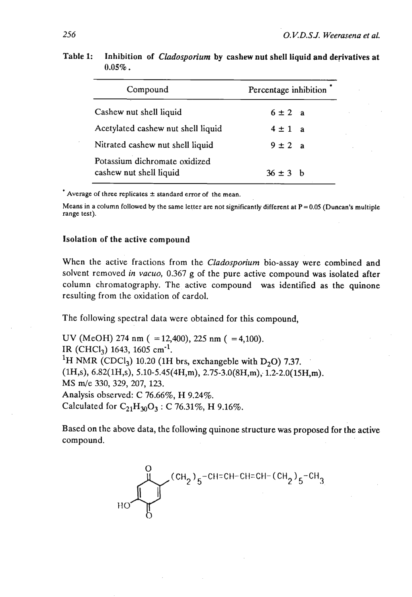| Compound                                                 | Percentage inhibition |
|----------------------------------------------------------|-----------------------|
| Cashew nut shell liquid                                  | $6 \pm 2$ a           |
| Acetylated cashew nut shell liquid                       | $4 \pm 1$ a           |
| Nitrated cashew nut shell liquid                         | $9 \pm 2$ a           |
| Potassium dichromate oxidized<br>cashew nut shell liquid | $36 \pm 3$ h          |

Table 1: Inhibition of *Cladosporium* by cashew nut shell liquid and derivatives at  $0.05%$ .

\* Average of three replicates  $\pm$  standard error of the mean.

**Means in a column followed by the same letter are not significantly different at P=0.05 (Duncan's multiple range test).** 

## Isolation of the active compound

When the active fractions from the Cladosporium bio-assay were combined and solvent removed in vacuo, 0.367 g of the pure active compound was isolated after column chromatography. The active compound was identified as the quinone resulting from the oxidation of cardol.

The following spectral data were obtained for this compound,

UV (MeOH) 274 nm ( = 12,400), 225 nm ( =4,100). IR (CHCl<sub>3</sub>) 1643, 1605 cm<sup>-1</sup>. <sup>1</sup>H NMR (CDCl<sub>3</sub>) 10.20 (1H brs, exchangeble with D<sub>2</sub>O) 7.37.  $(1H,s)$ , 6.82 $(1H,s)$ , 5.10-5.45 $(4H,m)$ , 2.75-3.0 $(8H,m)$ , 1.2-2.0 $(15H,m)$ . MS m/e 330, 329, 207, 123. Analysis observed: C 76.66%, H 9.24%. Calculated for  $C_{21}H_{30}O_3$ : C 76.31%, H 9.16%.

Based on the above data, the following quinone structure was proposed for the active compound.

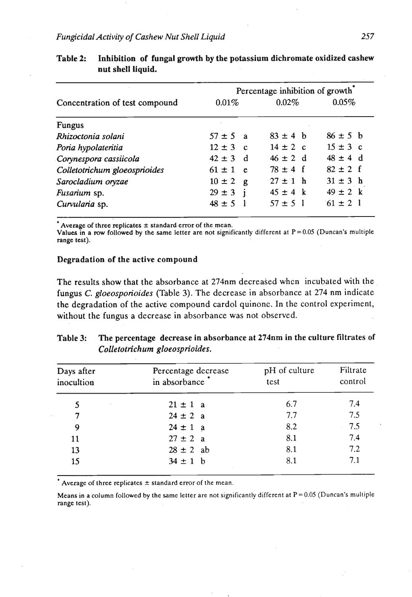|                                | Percentage inhibition of growth |              |              |
|--------------------------------|---------------------------------|--------------|--------------|
| Concentration of test compound | 0.01%                           | $0.02\%$     | $0.05\%$     |
| <b>Fungus</b>                  |                                 |              |              |
| Rhizoctonia solani             | $57 \pm 5$ a                    | $83 \pm 4$ b | $86 \pm 5$ b |
| Poria hypolateritia            | $12 \pm 3$ c                    | $14 \pm 2$ c | $15 \pm 3$ c |
| Corynespora cassiicola         | $42 \pm 3$ d                    | $46 \pm 2$ d | $48 \pm 4$ d |
| Colletotrichum gloeosprioides  | $61 \pm 1$ e                    | $78 \pm 4$ f | $82 \pm 2$ f |
| Sarocladium oryzae             | $10 \pm 2$<br>$\mathbf{g}$      | $27 \pm 1$ h | $31 \pm 3$ h |
| Fusarium sp.                   | $29 \pm 3$                      | $45 \pm 4$ k | $49 \pm 2$ k |
| Curvularia sp.                 | $48 \pm 5$                      | $57 \pm 5$ 1 | $61 \pm 2$ 1 |

| Table 2: |                   | Inhibition of fungal growth by the potassium dichromate oxidized cashew |
|----------|-------------------|-------------------------------------------------------------------------|
|          | nut shell liquid. |                                                                         |

'Average of three replicates **A** standard error of the mean. Values in a row followed by the same letter are not significantly different at **P=0.05** (Duncan's multiple range test).

## Degradation of the active compound

The results show that the absorbance at **274nm** decreased when incubated with the fungus *C. gloeosporioides* (Table *3).* The decrease in absorbance at 274 nm indicate the degradation of the active compound cardol quinone. In the control experiment, without the fungus a decrease in absorbance was not observed.

| Table 3: | The percentage decrease in absorbance at 274nm in the culture filtrates of |
|----------|----------------------------------------------------------------------------|
|          | Colletotrichum gloeosprioides.                                             |
|          |                                                                            |

| Days after<br>inocultion | Percentage decrease<br>in absorbance | pH of culture<br>test | Filtrate<br>control |
|--------------------------|--------------------------------------|-----------------------|---------------------|
|                          | $21 \pm 1$ a                         | 6.7                   | 7.4                 |
| 7                        | $24 \pm 2$ a                         | 7.7                   | 7.5                 |
| 9                        | $24 \pm 1$ a                         | 8.2                   | 7.5                 |
| 11                       | $27 \pm 2$ a                         | 8.1                   | 7.4                 |
| 13                       | $28 \pm 2$ ab                        | 8.1                   | 7.2                 |
| 15                       | $34 \pm 1$ b                         | 8.1                   | 7.1                 |

Average of three replicates  $\pm$  standard error of the mean.

Means in a column followed by the same letter are not significantly different at  $P = 0.05$  (Duncan's multiple range test).